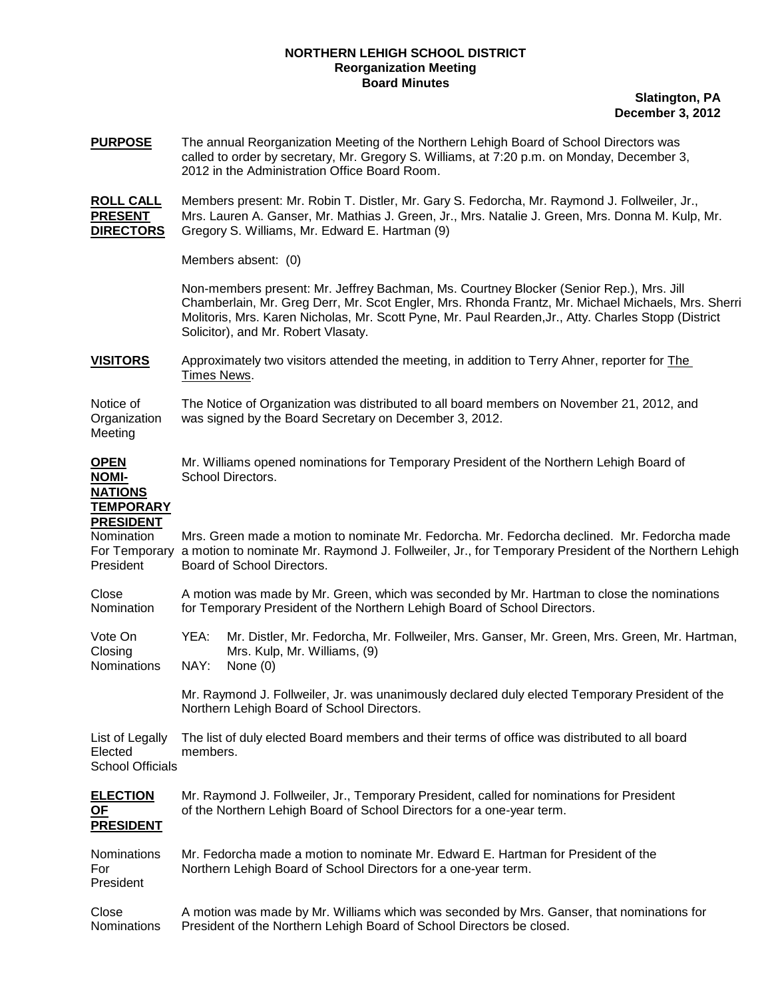## **NORTHERN LEHIGH SCHOOL DISTRICT Reorganization Meeting Board Minutes**

**Slatington, PA December 3, 2012**

| <b>PURPOSE</b>                                                                   | The annual Reorganization Meeting of the Northern Lehigh Board of School Directors was<br>called to order by secretary, Mr. Gregory S. Williams, at 7:20 p.m. on Monday, December 3,<br>2012 in the Administration Office Board Room.              |                                                                                                                                                                                                                                                                                                                                              |  |  |  |
|----------------------------------------------------------------------------------|----------------------------------------------------------------------------------------------------------------------------------------------------------------------------------------------------------------------------------------------------|----------------------------------------------------------------------------------------------------------------------------------------------------------------------------------------------------------------------------------------------------------------------------------------------------------------------------------------------|--|--|--|
| <b>ROLL CALL</b><br><b>PRESENT</b><br><b>DIRECTORS</b>                           | Members present: Mr. Robin T. Distler, Mr. Gary S. Fedorcha, Mr. Raymond J. Follweiler, Jr.,<br>Mrs. Lauren A. Ganser, Mr. Mathias J. Green, Jr., Mrs. Natalie J. Green, Mrs. Donna M. Kulp, Mr.<br>Gregory S. Williams, Mr. Edward E. Hartman (9) |                                                                                                                                                                                                                                                                                                                                              |  |  |  |
|                                                                                  | Members absent: (0)                                                                                                                                                                                                                                |                                                                                                                                                                                                                                                                                                                                              |  |  |  |
|                                                                                  |                                                                                                                                                                                                                                                    | Non-members present: Mr. Jeffrey Bachman, Ms. Courtney Blocker (Senior Rep.), Mrs. Jill<br>Chamberlain, Mr. Greg Derr, Mr. Scot Engler, Mrs. Rhonda Frantz, Mr. Michael Michaels, Mrs. Sherri<br>Molitoris, Mrs. Karen Nicholas, Mr. Scott Pyne, Mr. Paul Rearden, Jr., Atty. Charles Stopp (District<br>Solicitor), and Mr. Robert Vlasaty. |  |  |  |
| <b>VISITORS</b>                                                                  | <u>Times News</u> .                                                                                                                                                                                                                                | Approximately two visitors attended the meeting, in addition to Terry Ahner, reporter for The                                                                                                                                                                                                                                                |  |  |  |
| Notice of<br>Organization<br>Meeting                                             | The Notice of Organization was distributed to all board members on November 21, 2012, and<br>was signed by the Board Secretary on December 3, 2012.                                                                                                |                                                                                                                                                                                                                                                                                                                                              |  |  |  |
| <b>OPEN</b><br><b>NOMI-</b><br><b>NATIONS</b>                                    | Mr. Williams opened nominations for Temporary President of the Northern Lehigh Board of<br>School Directors.                                                                                                                                       |                                                                                                                                                                                                                                                                                                                                              |  |  |  |
| <b>TEMPORARY</b><br><b>PRESIDENT</b><br>Nomination<br>For Temporary<br>President | Mrs. Green made a motion to nominate Mr. Fedorcha. Mr. Fedorcha declined. Mr. Fedorcha made<br>a motion to nominate Mr. Raymond J. Follweiler, Jr., for Temporary President of the Northern Lehigh<br>Board of School Directors.                   |                                                                                                                                                                                                                                                                                                                                              |  |  |  |
| Close<br>Nomination                                                              | A motion was made by Mr. Green, which was seconded by Mr. Hartman to close the nominations<br>for Temporary President of the Northern Lehigh Board of School Directors.                                                                            |                                                                                                                                                                                                                                                                                                                                              |  |  |  |
| Vote On<br>Closing<br>Nominations                                                | YEA:<br>NAY:                                                                                                                                                                                                                                       | Mr. Distler, Mr. Fedorcha, Mr. Follweiler, Mrs. Ganser, Mr. Green, Mrs. Green, Mr. Hartman,<br>Mrs. Kulp, Mr. Williams, (9)<br>None $(0)$                                                                                                                                                                                                    |  |  |  |
|                                                                                  |                                                                                                                                                                                                                                                    | Mr. Raymond J. Follweiler, Jr. was unanimously declared duly elected Temporary President of the<br>Northern Lehigh Board of School Directors.                                                                                                                                                                                                |  |  |  |
| List of Legally<br>Elected<br><b>School Officials</b>                            | The list of duly elected Board members and their terms of office was distributed to all board<br>members.                                                                                                                                          |                                                                                                                                                                                                                                                                                                                                              |  |  |  |
| <b>ELECTION</b><br>ΟF<br><b>PRESIDENT</b>                                        | Mr. Raymond J. Follweiler, Jr., Temporary President, called for nominations for President<br>of the Northern Lehigh Board of School Directors for a one-year term.                                                                                 |                                                                                                                                                                                                                                                                                                                                              |  |  |  |
| Nominations<br>For<br>President                                                  | Mr. Fedorcha made a motion to nominate Mr. Edward E. Hartman for President of the<br>Northern Lehigh Board of School Directors for a one-year term.                                                                                                |                                                                                                                                                                                                                                                                                                                                              |  |  |  |
| Close<br>Nominations                                                             | A motion was made by Mr. Williams which was seconded by Mrs. Ganser, that nominations for<br>President of the Northern Lehigh Board of School Directors be closed.                                                                                 |                                                                                                                                                                                                                                                                                                                                              |  |  |  |